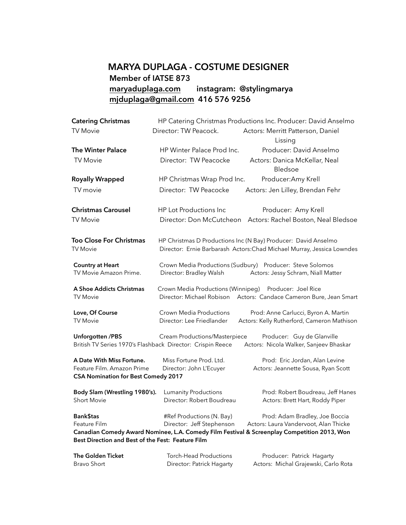## **MARYA DUPLAGA - COSTUME DESIGNER Member of IATSE 873 [maryaduplaga.com](http://maryaduplaga.com) instagram: @stylingmarya [mjduplaga@gmail.com](mailto:mjduplaga@gmail.com) 416 576 9256**

| <b>Catering Christmas</b>                                                | HP Catering Christmas Productions Inc. Producer: David Anselmo                                                                           |                                                                                                 |
|--------------------------------------------------------------------------|------------------------------------------------------------------------------------------------------------------------------------------|-------------------------------------------------------------------------------------------------|
| <b>TV Movie</b>                                                          | Director: TW Peacock.                                                                                                                    | Actors: Merritt Patterson, Daniel<br>Lissing                                                    |
| <b>The Winter Palace</b>                                                 | HP Winter Palace Prod Inc.                                                                                                               | Producer: David Anselmo                                                                         |
| <b>TV Movie</b>                                                          | Director: TW Peacocke                                                                                                                    | Actors: Danica McKellar, Neal<br>Bledsoe                                                        |
| <b>Royally Wrapped</b>                                                   | HP Christmas Wrap Prod Inc.                                                                                                              | Producer: Amy Krell                                                                             |
| TV movie                                                                 | Director: TW Peacocke                                                                                                                    | Actors: Jen Lilley, Brendan Fehr                                                                |
| <b>Christmas Carousel</b>                                                | HP Lot Productions Inc                                                                                                                   | Producer: Amy Krell                                                                             |
| <b>TV Movie</b>                                                          | Director: Don McCutcheon                                                                                                                 | Actors: Rachel Boston, Neal Bledsoe                                                             |
| <b>Too Close For Christmas</b><br><b>TV Movie</b>                        | HP Christmas D Productions Inc (N Bay) Producer: David Anselmo<br>Director: Ernie Barbarash Actors: Chad Michael Murray, Jessica Lowndes |                                                                                                 |
| <b>Country at Heart</b><br>TV Movie Amazon Prime.                        | Director: Bradley Walsh                                                                                                                  | Crown Media Productions (Sudbury) Producer: Steve Solomos<br>Actors: Jessy Schram, Niall Matter |
| A Shoe Addicts Christmas<br><b>TV Movie</b>                              | Crown Media Productions (Winnipeg) Producer: Joel Rice<br>Director: Michael Robison                                                      | Actors: Candace Cameron Bure, Jean Smart                                                        |
| Love, Of Course<br><b>TV Movie</b>                                       | Crown Media Productions<br>Director: Lee Friedlander                                                                                     | Prod: Anne Carlucci, Byron A. Martin<br>Actors: Kelly Rutherford, Cameron Mathison              |
| <b>Unforgotten /PBS</b>                                                  | Cream Productions/Masterpiece<br>British TV Series 1970's Flashback Director: Crispin Reece                                              | Producer: Guy de Glanville<br>Actors: Nicola Walker, Sanjeev Bhaskar                            |
| A Date With Miss Fortune.                                                | Miss Fortune Prod. Ltd.                                                                                                                  | Prod: Eric Jordan, Alan Levine                                                                  |
| Feature Film. Amazon Prime<br><b>CSA Nomination for Best Comedy 2017</b> | Director: John L'Ecuyer                                                                                                                  | Actors: Jeannette Sousa, Ryan Scott                                                             |
| Body Slam (Wrestling 1980's).                                            | <b>Lumanity Productions</b>                                                                                                              | Prod: Robert Boudreau, Jeff Hanes                                                               |
| <b>Short Movie</b>                                                       | Director: Robert Boudreau                                                                                                                | Actors: Brett Hart, Roddy Piper                                                                 |
| Bank\$tas                                                                | #Ref Productions (N. Bay)                                                                                                                | Prod: Adam Bradley, Joe Boccia                                                                  |
| Feature Film                                                             | Director: Jeff Stephenson                                                                                                                | Actors: Laura Vandervoot, Alan Thicke                                                           |
| Best Direction and Best of the Fest: Feature Film                        |                                                                                                                                          | Canadian Comedy Award Nominee, L.A. Comedy Film Festival & Screenplay Competition 2013, Won     |
| <b>The Golden Ticket</b>                                                 | <b>Torch-Head Productions</b>                                                                                                            | Producer: Patrick Hagarty                                                                       |

Bravo Short Director: Patrick Hagarty Actors: Michal Grajewski, Carlo Rota